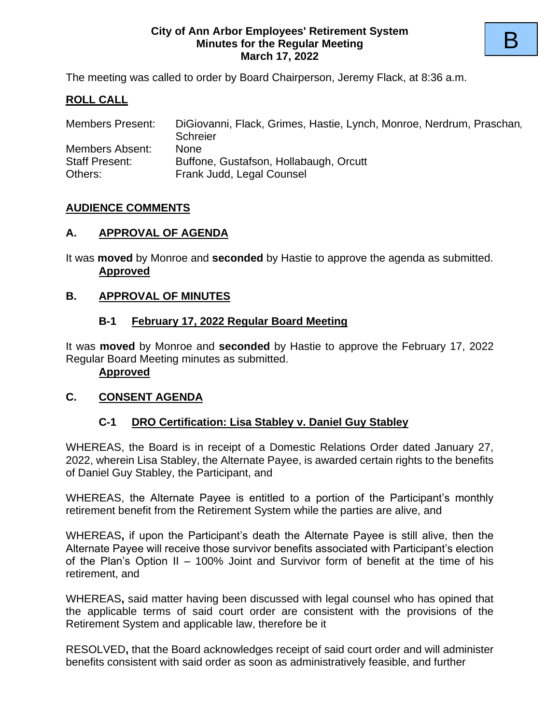#### **City of Ann Arbor Employees' Retirement System Minutes for the Regular Meeting March 17, 2022**

The meeting was called to order by Board Chairperson, Jeremy Flack, at 8:36 a.m.

## **ROLL CALL**

| <b>Members Present:</b> | DiGiovanni, Flack, Grimes, Hastie, Lynch, Monroe, Nerdrum, Praschan, |
|-------------------------|----------------------------------------------------------------------|
|                         | Schreier                                                             |
| Members Absent:         | <b>None</b>                                                          |
| <b>Staff Present:</b>   | Buffone, Gustafson, Hollabaugh, Orcutt                               |
| Others:                 | Frank Judd, Legal Counsel                                            |

#### **AUDIENCE COMMENTS**

#### **A. APPROVAL OF AGENDA**

It was **moved** by Monroe and **seconded** by Hastie to approve the agenda as submitted. **Approved**

#### **B. APPROVAL OF MINUTES**

#### **B-1 February 17, 2022 Regular Board Meeting**

It was **moved** by Monroe and **seconded** by Hastie to approve the February 17, 2022 Regular Board Meeting minutes as submitted.

**Approved**

#### **C. CONSENT AGENDA**

#### **C-1 DRO Certification: Lisa Stabley v. Daniel Guy Stabley**

WHEREAS, the Board is in receipt of a Domestic Relations Order dated January 27, 2022, wherein Lisa Stabley, the Alternate Payee, is awarded certain rights to the benefits of Daniel Guy Stabley, the Participant, and

WHEREAS, the Alternate Payee is entitled to a portion of the Participant's monthly retirement benefit from the Retirement System while the parties are alive, and

WHEREAS**,** if upon the Participant's death the Alternate Payee is still alive, then the Alternate Payee will receive those survivor benefits associated with Participant's election of the Plan's Option II – 100% Joint and Survivor form of benefit at the time of his retirement, and

WHEREAS**,** said matter having been discussed with legal counsel who has opined that the applicable terms of said court order are consistent with the provisions of the Retirement System and applicable law, therefore be it

RESOLVED**,** that the Board acknowledges receipt of said court order and will administer benefits consistent with said order as soon as administratively feasible, and further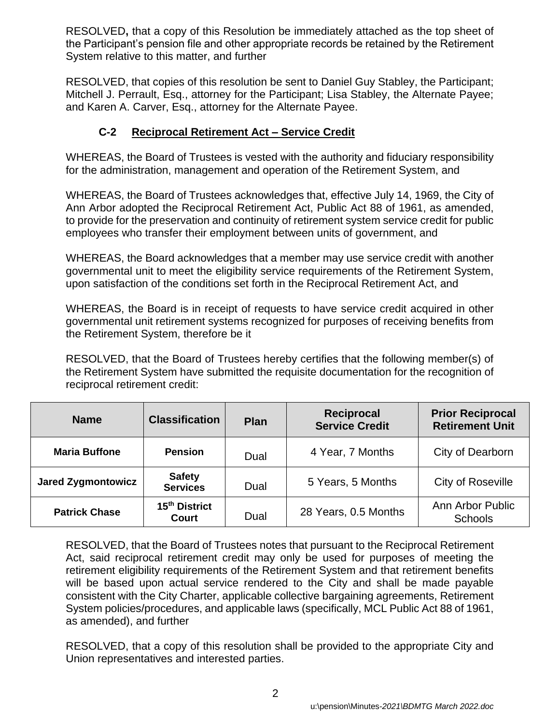RESOLVED**,** that a copy of this Resolution be immediately attached as the top sheet of the Participant's pension file and other appropriate records be retained by the Retirement System relative to this matter, and further

RESOLVED, that copies of this resolution be sent to Daniel Guy Stabley, the Participant; Mitchell J. Perrault, Esq., attorney for the Participant; Lisa Stabley, the Alternate Payee; and Karen A. Carver, Esq., attorney for the Alternate Payee.

## **C-2 Reciprocal Retirement Act – Service Credit**

WHEREAS, the Board of Trustees is vested with the authority and fiduciary responsibility for the administration, management and operation of the Retirement System, and

WHEREAS, the Board of Trustees acknowledges that, effective July 14, 1969, the City of Ann Arbor adopted the Reciprocal Retirement Act, Public Act 88 of 1961, as amended, to provide for the preservation and continuity of retirement system service credit for public employees who transfer their employment between units of government, and

WHEREAS, the Board acknowledges that a member may use service credit with another governmental unit to meet the eligibility service requirements of the Retirement System, upon satisfaction of the conditions set forth in the Reciprocal Retirement Act, and

WHEREAS, the Board is in receipt of requests to have service credit acquired in other governmental unit retirement systems recognized for purposes of receiving benefits from the Retirement System, therefore be it

RESOLVED, that the Board of Trustees hereby certifies that the following member(s) of the Retirement System have submitted the requisite documentation for the recognition of reciprocal retirement credit:

| <b>Name</b>                                                | <b>Classification</b>                    | <b>Plan</b> | <b>Reciprocal</b><br><b>Service Credit</b> | <b>Prior Reciprocal</b><br><b>Retirement Unit</b> |
|------------------------------------------------------------|------------------------------------------|-------------|--------------------------------------------|---------------------------------------------------|
| <b>Maria Buffone</b>                                       | <b>Pension</b>                           | Dual        | 4 Year, 7 Months                           | City of Dearborn                                  |
| <b>Jared Zygmontowicz</b>                                  | <b>Safety</b><br>Dual<br><b>Services</b> |             | 5 Years, 5 Months                          | City of Roseville                                 |
| 15 <sup>th</sup> District<br><b>Patrick Chase</b><br>Court |                                          | Dual        | 28 Years, 0.5 Months                       | Ann Arbor Public<br><b>Schools</b>                |

RESOLVED, that the Board of Trustees notes that pursuant to the Reciprocal Retirement Act, said reciprocal retirement credit may only be used for purposes of meeting the retirement eligibility requirements of the Retirement System and that retirement benefits will be based upon actual service rendered to the City and shall be made payable consistent with the City Charter, applicable collective bargaining agreements, Retirement System policies/procedures, and applicable laws (specifically, MCL Public Act 88 of 1961, as amended), and further

RESOLVED, that a copy of this resolution shall be provided to the appropriate City and Union representatives and interested parties.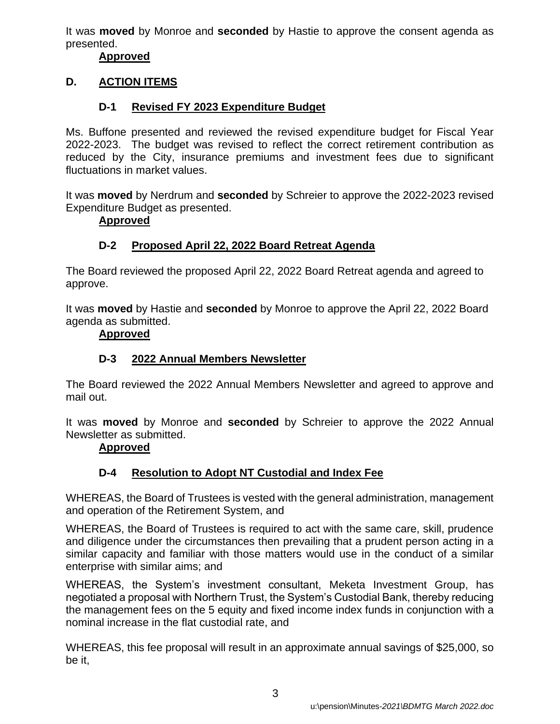It was **moved** by Monroe and **seconded** by Hastie to approve the consent agenda as presented.

#### **Approved**

## **D. ACTION ITEMS**

## **D-1 Revised FY 2023 Expenditure Budget**

Ms. Buffone presented and reviewed the revised expenditure budget for Fiscal Year 2022-2023. The budget was revised to reflect the correct retirement contribution as reduced by the City, insurance premiums and investment fees due to significant fluctuations in market values.

It was **moved** by Nerdrum and **seconded** by Schreier to approve the 2022-2023 revised Expenditure Budget as presented.

#### **Approved**

## **D-2 Proposed April 22, 2022 Board Retreat Agenda**

The Board reviewed the proposed April 22, 2022 Board Retreat agenda and agreed to approve.

It was **moved** by Hastie and **seconded** by Monroe to approve the April 22, 2022 Board agenda as submitted.

#### **Approved**

## **D-3 2022 Annual Members Newsletter**

The Board reviewed the 2022 Annual Members Newsletter and agreed to approve and mail out.

It was **moved** by Monroe and **seconded** by Schreier to approve the 2022 Annual Newsletter as submitted.

#### **Approved**

## **D-4 Resolution to Adopt NT Custodial and Index Fee**

WHEREAS, the Board of Trustees is vested with the general administration, management and operation of the Retirement System, and

WHEREAS, the Board of Trustees is required to act with the same care, skill, prudence and diligence under the circumstances then prevailing that a prudent person acting in a similar capacity and familiar with those matters would use in the conduct of a similar enterprise with similar aims; and

WHEREAS, the System's investment consultant, Meketa Investment Group, has negotiated a proposal with Northern Trust, the System's Custodial Bank, thereby reducing the management fees on the 5 equity and fixed income index funds in conjunction with a nominal increase in the flat custodial rate, and

WHEREAS, this fee proposal will result in an approximate annual savings of \$25,000, so be it,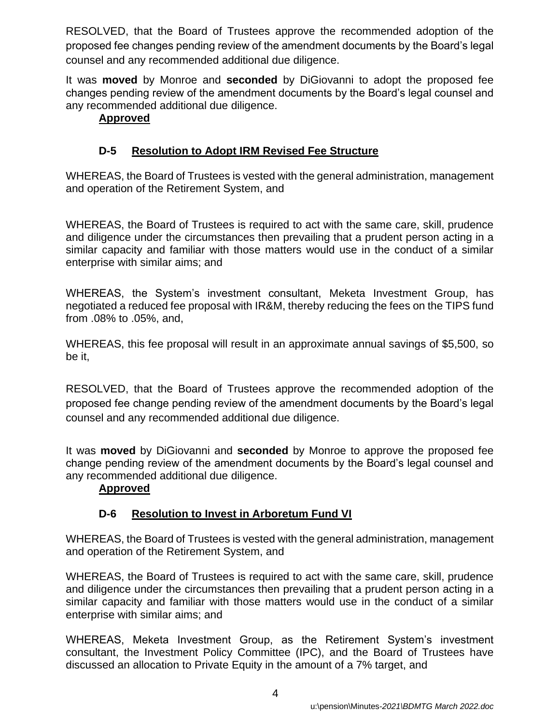RESOLVED, that the Board of Trustees approve the recommended adoption of the proposed fee changes pending review of the amendment documents by the Board's legal counsel and any recommended additional due diligence.

It was **moved** by Monroe and **seconded** by DiGiovanni to adopt the proposed fee changes pending review of the amendment documents by the Board's legal counsel and any recommended additional due diligence.

## **Approved**

## **D-5 Resolution to Adopt IRM Revised Fee Structure**

WHEREAS, the Board of Trustees is vested with the general administration, management and operation of the Retirement System, and

WHEREAS, the Board of Trustees is required to act with the same care, skill, prudence and diligence under the circumstances then prevailing that a prudent person acting in a similar capacity and familiar with those matters would use in the conduct of a similar enterprise with similar aims; and

WHEREAS, the System's investment consultant, Meketa Investment Group, has negotiated a reduced fee proposal with IR&M, thereby reducing the fees on the TIPS fund from .08% to .05%, and,

WHEREAS, this fee proposal will result in an approximate annual savings of \$5,500, so be it,

RESOLVED, that the Board of Trustees approve the recommended adoption of the proposed fee change pending review of the amendment documents by the Board's legal counsel and any recommended additional due diligence.

It was **moved** by DiGiovanni and **seconded** by Monroe to approve the proposed fee change pending review of the amendment documents by the Board's legal counsel and any recommended additional due diligence.

## **Approved**

## **D-6 Resolution to Invest in Arboretum Fund VI**

WHEREAS, the Board of Trustees is vested with the general administration, management and operation of the Retirement System, and

WHEREAS, the Board of Trustees is required to act with the same care, skill, prudence and diligence under the circumstances then prevailing that a prudent person acting in a similar capacity and familiar with those matters would use in the conduct of a similar enterprise with similar aims; and

WHEREAS, Meketa Investment Group, as the Retirement System's investment consultant, the Investment Policy Committee (IPC), and the Board of Trustees have discussed an allocation to Private Equity in the amount of a 7% target, and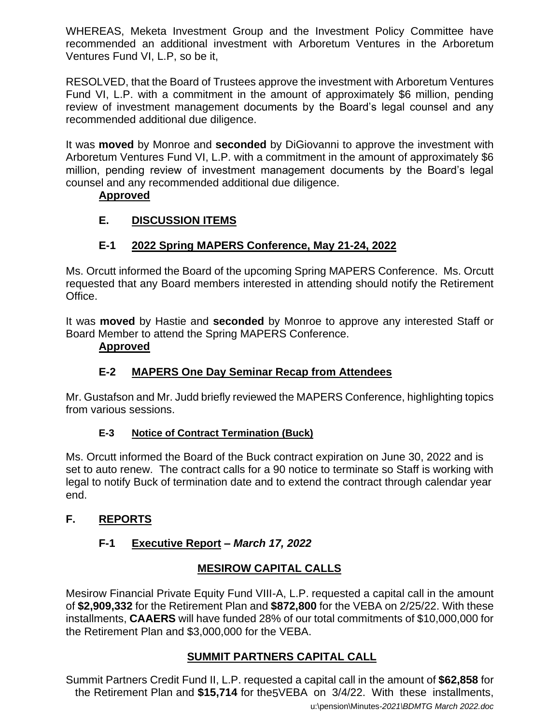WHEREAS, Meketa Investment Group and the Investment Policy Committee have recommended an additional investment with Arboretum Ventures in the Arboretum Ventures Fund VI, L.P, so be it,

RESOLVED, that the Board of Trustees approve the investment with Arboretum Ventures Fund VI, L.P. with a commitment in the amount of approximately \$6 million, pending review of investment management documents by the Board's legal counsel and any recommended additional due diligence.

It was **moved** by Monroe and **seconded** by DiGiovanni to approve the investment with Arboretum Ventures Fund VI, L.P. with a commitment in the amount of approximately \$6 million, pending review of investment management documents by the Board's legal counsel and any recommended additional due diligence.

## **Approved**

# **E. DISCUSSION ITEMS**

# **E-1 2022 Spring MAPERS Conference, May 21-24, 2022**

Ms. Orcutt informed the Board of the upcoming Spring MAPERS Conference. Ms. Orcutt requested that any Board members interested in attending should notify the Retirement Office.

It was **moved** by Hastie and **seconded** by Monroe to approve any interested Staff or Board Member to attend the Spring MAPERS Conference.

## **Approved**

# **E-2 MAPERS One Day Seminar Recap from Attendees**

Mr. Gustafson and Mr. Judd briefly reviewed the MAPERS Conference, highlighting topics from various sessions.

## **E-3 Notice of Contract Termination (Buck)**

Ms. Orcutt informed the Board of the Buck contract expiration on June 30, 2022 and is set to auto renew. The contract calls for a 90 notice to terminate so Staff is working with legal to notify Buck of termination date and to extend the contract through calendar year end.

## **F. REPORTS**

# **F-1 Executive Report** *– March 17, 2022*

## **MESIROW CAPITAL CALLS**

Mesirow Financial Private Equity Fund VIII-A, L.P. requested a capital call in the amount of **\$2,909,332** for the Retirement Plan and **\$872,800** for the VEBA on 2/25/22. With these installments, **CAAERS** will have funded 28% of our total commitments of \$10,000,000 for the Retirement Plan and \$3,000,000 for the VEBA.

# **SUMMIT PARTNERS CAPITAL CALL**

u:\pension\Minutes*-2021\BDMTG March 2022.doc* the Retirement Plan and \$15,714 for the 5VEBA on 3/4/22. With these installments, Summit Partners Credit Fund II, L.P. requested a capital call in the amount of **\$62,858** for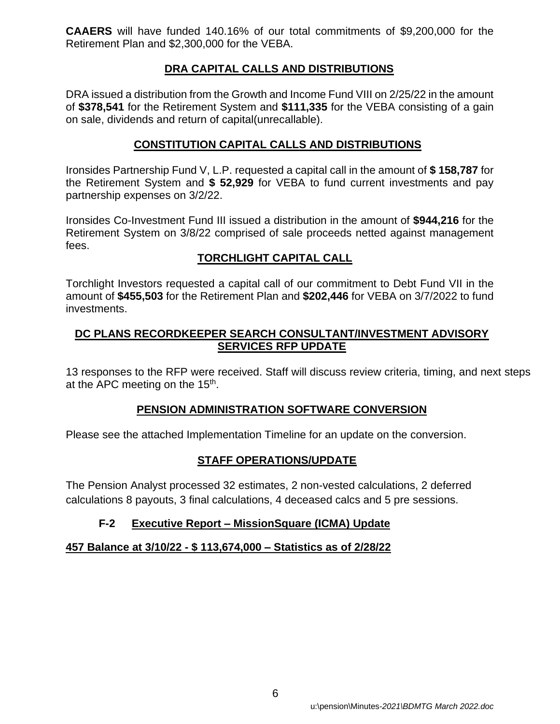**CAAERS** will have funded 140.16% of our total commitments of \$9,200,000 for the Retirement Plan and \$2,300,000 for the VEBA.

## **DRA CAPITAL CALLS AND DISTRIBUTIONS**

DRA issued a distribution from the Growth and Income Fund VIII on 2/25/22 in the amount of **\$378,541** for the Retirement System and **\$111,335** for the VEBA consisting of a gain on sale, dividends and return of capital(unrecallable).

## **CONSTITUTION CAPITAL CALLS AND DISTRIBUTIONS**

Ironsides Partnership Fund V, L.P. requested a capital call in the amount of **\$ 158,787** for the Retirement System and **\$ 52,929** for VEBA to fund current investments and pay partnership expenses on 3/2/22.

Ironsides Co-Investment Fund III issued a distribution in the amount of **\$944,216** for the Retirement System on 3/8/22 comprised of sale proceeds netted against management fees.

## **TORCHLIGHT CAPITAL CALL**

Torchlight Investors requested a capital call of our commitment to Debt Fund VII in the amount of **\$455,503** for the Retirement Plan and **\$202,446** for VEBA on 3/7/2022 to fund investments.

## **DC PLANS RECORDKEEPER SEARCH CONSULTANT/INVESTMENT ADVISORY SERVICES RFP UPDATE**

13 responses to the RFP were received. Staff will discuss review criteria, timing, and next steps at the APC meeting on the 15<sup>th</sup>.

## **PENSION ADMINISTRATION SOFTWARE CONVERSION**

Please see the attached Implementation Timeline for an update on the conversion.

## **STAFF OPERATIONS/UPDATE**

The Pension Analyst processed 32 estimates, 2 non-vested calculations, 2 deferred calculations 8 payouts, 3 final calculations, 4 deceased calcs and 5 pre sessions.

## **F-2 Executive Report – MissionSquare (ICMA) Update**

## **457 Balance at 3/10/22 - \$ 113,674,000 – Statistics as of 2/28/22**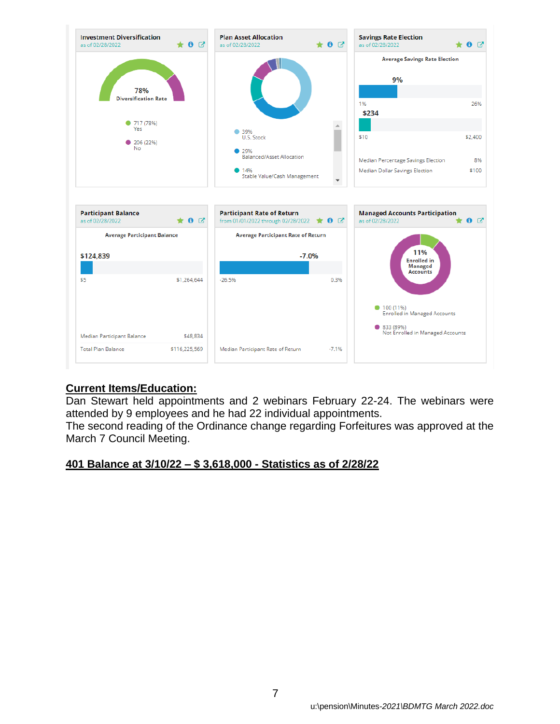

## **Current Items/Education:**

Dan Stewart held appointments and 2 webinars February 22-24. The webinars were attended by 9 employees and he had 22 individual appointments.

The second reading of the Ordinance change regarding Forfeitures was approved at the March 7 Council Meeting.

#### **401 Balance at 3/10/22 – \$ 3,618,000 - Statistics as of 2/28/22**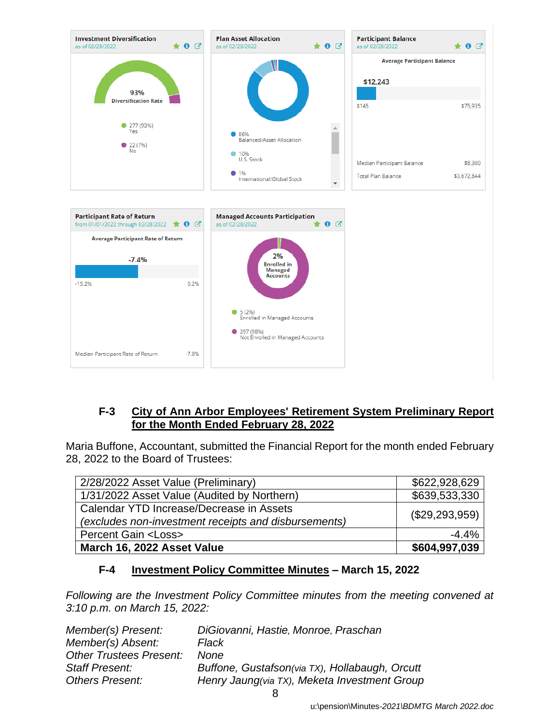

#### **F-3 City of Ann Arbor Employees' Retirement System Preliminary Report for the Month Ended February 28, 2022**

Maria Buffone, Accountant, submitted the Financial Report for the month ended February 28, 2022 to the Board of Trustees:

| 2/28/2022 Asset Value (Preliminary)                                                              | \$622,928,629  |
|--------------------------------------------------------------------------------------------------|----------------|
| 1/31/2022 Asset Value (Audited by Northern)                                                      | \$639,533,330  |
| Calendar YTD Increase/Decrease in Assets<br>(excludes non-investment receipts and disbursements) | (\$29,293,959) |
| <b>Percent Gain <loss></loss></b>                                                                | $-4.4%$        |
| March 16, 2022 Asset Value                                                                       | \$604,997,039  |

## **F-4 Investment Policy Committee Minutes – March 15, 2022**

*Following are the Investment Policy Committee minutes from the meeting convened at 3:10 p.m. on March 15, 2022:*

| Member(s) Present:             | DiGiovanni, Hastie, Monroe, Praschan           |
|--------------------------------|------------------------------------------------|
| Member(s) Absent:              | Flack                                          |
| <b>Other Trustees Present:</b> | <b>None</b>                                    |
| <b>Staff Present:</b>          | Buffone, Gustafson(via TX), Hollabaugh, Orcutt |
| <b>Others Present:</b>         | Henry Jaung(via TX), Meketa Investment Group   |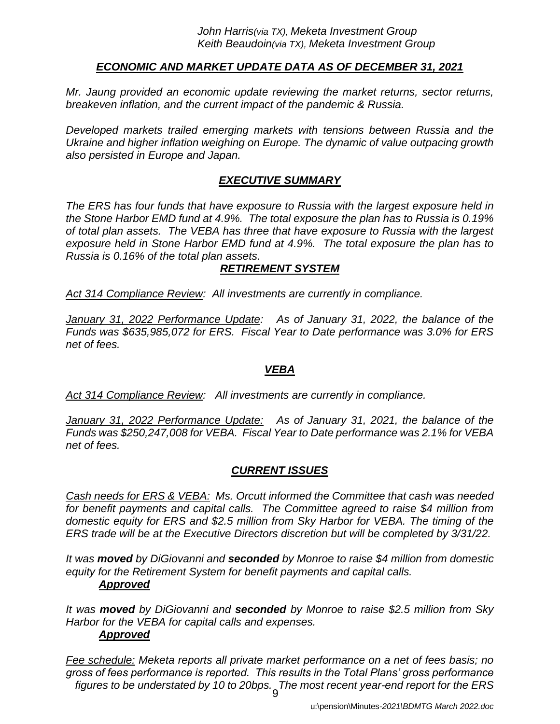## *ECONOMIC AND MARKET UPDATE DATA AS OF DECEMBER 31, 2021*

*Mr. Jaung provided an economic update reviewing the market returns, sector returns, breakeven inflation, and the current impact of the pandemic & Russia.*

*Developed markets trailed emerging markets with tensions between Russia and the Ukraine and higher inflation weighing on Europe. The dynamic of value outpacing growth also persisted in Europe and Japan.*

## *EXECUTIVE SUMMARY*

*The ERS has four funds that have exposure to Russia with the largest exposure held in the Stone Harbor EMD fund at 4.9%. The total exposure the plan has to Russia is 0.19% of total plan assets. The VEBA has three that have exposure to Russia with the largest exposure held in Stone Harbor EMD fund at 4.9%. The total exposure the plan has to Russia is 0.16% of the total plan assets.*

#### *RETIREMENT SYSTEM*

*Act 314 Compliance Review: All investments are currently in compliance.*

*January 31, 2022 Performance Update: As of January 31, 2022, the balance of the Funds was \$635,985,072 for ERS. Fiscal Year to Date performance was 3.0% for ERS net of fees.* 

#### *VEBA*

*Act 314 Compliance Review: All investments are currently in compliance.*

*January 31, 2022 Performance Update: As of January 31, 2021, the balance of the Funds was \$250,247,008 for VEBA. Fiscal Year to Date performance was 2.1% for VEBA net of fees.* 

## *CURRENT ISSUES*

*Cash needs for ERS & VEBA: Ms. Orcutt informed the Committee that cash was needed for benefit payments and capital calls. The Committee agreed to raise \$4 million from domestic equity for ERS and \$2.5 million from Sky Harbor for VEBA. The timing of the ERS trade will be at the Executive Directors discretion but will be completed by 3/31/22.*

*It was moved by DiGiovanni and seconded by Monroe to raise \$4 million from domestic equity for the Retirement System for benefit payments and capital calls. Approved*

*It was moved by DiGiovanni and seconded by Monroe to raise \$2.5 million from Sky Harbor for the VEBA for capital calls and expenses. Approved*

9 *Fee schedule: Meketa reports all private market performance on a net of fees basis; no gross of fees performance is reported. This results in the Total Plans' gross performance figures to be understated by 10 to 20bps. The most recent year-end report for the ERS*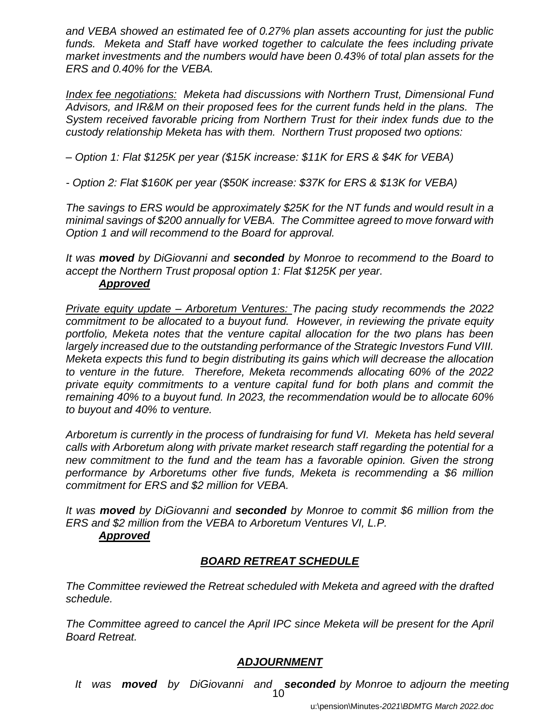*and VEBA showed an estimated fee of 0.27% plan assets accounting for just the public*  funds. Meketa and Staff have worked together to calculate the fees including private *market investments and the numbers would have been 0.43% of total plan assets for the ERS and 0.40% for the VEBA.*

*Index fee negotiations: Meketa had discussions with Northern Trust, Dimensional Fund Advisors, and IR&M on their proposed fees for the current funds held in the plans. The System received favorable pricing from Northern Trust for their index funds due to the custody relationship Meketa has with them. Northern Trust proposed two options:*

*– Option 1: Flat \$125K per year (\$15K increase: \$11K for ERS & \$4K for VEBA)*

*- Option 2: Flat \$160K per year (\$50K increase: \$37K for ERS & \$13K for VEBA)*

*The savings to ERS would be approximately \$25K for the NT funds and would result in a minimal savings of \$200 annually for VEBA. The Committee agreed to move forward with Option 1 and will recommend to the Board for approval.*

*It was moved by DiGiovanni and seconded by Monroe to recommend to the Board to accept the Northern Trust proposal option 1: Flat \$125K per year.*

#### *Approved*

*Private equity update – Arboretum Ventures: The pacing study recommends the 2022 commitment to be allocated to a buyout fund. However, in reviewing the private equity portfolio, Meketa notes that the venture capital allocation for the two plans has been largely increased due to the outstanding performance of the Strategic Investors Fund VIII. Meketa expects this fund to begin distributing its gains which will decrease the allocation to venture in the future. Therefore, Meketa recommends allocating 60% of the 2022 private equity commitments to a venture capital fund for both plans and commit the remaining 40% to a buyout fund. In 2023, the recommendation would be to allocate 60% to buyout and 40% to venture.* 

*Arboretum is currently in the process of fundraising for fund VI. Meketa has held several calls with Arboretum along with private market research staff regarding the potential for a new commitment to the fund and the team has a favorable opinion. Given the strong performance by Arboretums other five funds, Meketa is recommending a \$6 million commitment for ERS and \$2 million for VEBA.*

*It was moved by DiGiovanni and seconded by Monroe to commit \$6 million from the ERS and \$2 million from the VEBA to Arboretum Ventures VI, L.P. Approved*

## *BOARD RETREAT SCHEDULE*

*The Committee reviewed the Retreat scheduled with Meketa and agreed with the drafted schedule.*

*The Committee agreed to cancel the April IPC since Meketa will be present for the April Board Retreat.* 

## *ADJOURNMENT*

*It was moved by DiGiovanni and seconded by Monroe to adjourn the meeting*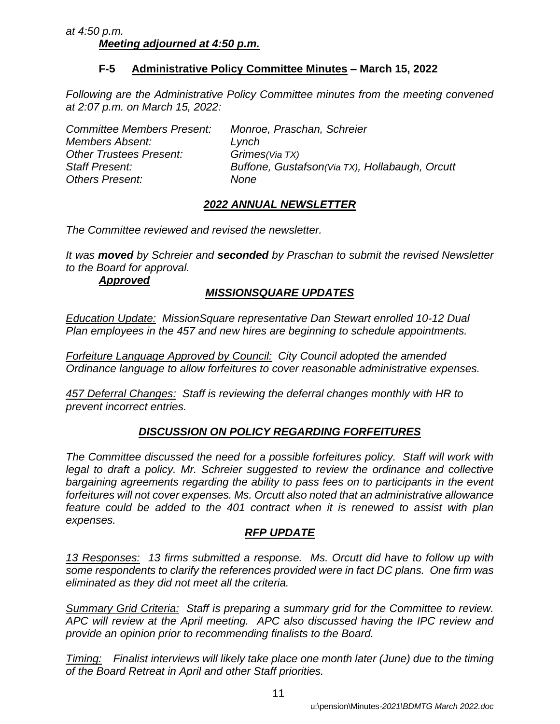#### *at 4:50 p.m. Meeting adjourned at 4:50 p.m.*

## **F-5 Administrative Policy Committee Minutes – March 15, 2022**

*Following are the Administrative Policy Committee minutes from the meeting convened at 2:07 p.m. on March 15, 2022:*

| <b>Committee Members Present:</b> | Monroe, Praschan, Schreier                     |
|-----------------------------------|------------------------------------------------|
| <b>Members Absent:</b>            | Lynch                                          |
| <b>Other Trustees Present:</b>    | Grimes (Via TX)                                |
| <b>Staff Present:</b>             | Buffone, Gustafson(Via TX), Hollabaugh, Orcutt |
| <b>Others Present:</b>            | None                                           |

## *2022 ANNUAL NEWSLETTER*

*The Committee reviewed and revised the newsletter.* 

*It was moved by Schreier and seconded by Praschan to submit the revised Newsletter to the Board for approval.*

*Approved*

#### *MISSIONSQUARE UPDATES*

*Education Update: MissionSquare representative Dan Stewart enrolled 10-12 Dual Plan employees in the 457 and new hires are beginning to schedule appointments.*

*Forfeiture Language Approved by Council: City Council adopted the amended Ordinance language to allow forfeitures to cover reasonable administrative expenses.* 

*457 Deferral Changes: Staff is reviewing the deferral changes monthly with HR to prevent incorrect entries.*

## *DISCUSSION ON POLICY REGARDING FORFEITURES*

*The Committee discussed the need for a possible forfeitures policy. Staff will work with*  legal to draft a policy. Mr. Schreier suggested to review the ordinance and collective *bargaining agreements regarding the ability to pass fees on to participants in the event forfeitures will not cover expenses. Ms. Orcutt also noted that an administrative allowance feature could be added to the 401 contract when it is renewed to assist with plan expenses.* 

## *RFP UPDATE*

*13 Responses: 13 firms submitted a response. Ms. Orcutt did have to follow up with some respondents to clarify the references provided were in fact DC plans. One firm was eliminated as they did not meet all the criteria.*

*Summary Grid Criteria: Staff is preparing a summary grid for the Committee to review. APC will review at the April meeting. APC also discussed having the IPC review and provide an opinion prior to recommending finalists to the Board.* 

*Timing: Finalist interviews will likely take place one month later (June) due to the timing of the Board Retreat in April and other Staff priorities.*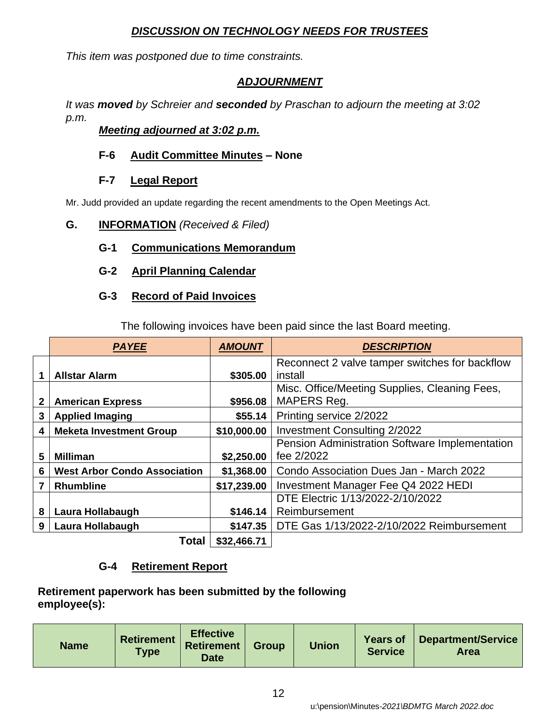#### *DISCUSSION ON TECHNOLOGY NEEDS FOR TRUSTEES*

*This item was postponed due to time constraints.*

## *ADJOURNMENT*

*It was moved by Schreier and seconded by Praschan to adjourn the meeting at 3:02 p.m.*

## *Meeting adjourned at 3:02 p.m.*

#### **F-6 Audit Committee Minutes** *–* **None**

#### **F-7 Legal Report**

Mr. Judd provided an update regarding the recent amendments to the Open Meetings Act.

#### **G. INFORMATION** *(Received & Filed)*

## **G-1 Communications Memorandum**

#### **G-2 April Planning Calendar**

#### **G-3 Record of Paid Invoices**

The following invoices have been paid since the last Board meeting.

|   | <b>PAYEE</b>                        | <b>AMOUNT</b> | <b>DESCRIPTION</b>                                           |
|---|-------------------------------------|---------------|--------------------------------------------------------------|
|   | <b>Allstar Alarm</b>                | \$305.00      | Reconnect 2 valve tamper switches for backflow<br>install    |
| 2 | <b>American Express</b>             | \$956.08      | Misc. Office/Meeting Supplies, Cleaning Fees,<br>MAPERS Reg. |
| 3 | <b>Applied Imaging</b>              | \$55.14       | Printing service 2/2022                                      |
| 4 | <b>Meketa Investment Group</b>      | \$10,000.00   | <b>Investment Consulting 2/2022</b>                          |
| 5 | <b>Milliman</b>                     | \$2,250.00    | Pension Administration Software Implementation<br>fee 2/2022 |
| 6 | <b>West Arbor Condo Association</b> | \$1,368.00    | Condo Association Dues Jan - March 2022                      |
|   | <b>Rhumbline</b>                    | \$17,239.00   | Investment Manager Fee Q4 2022 HEDI                          |
|   |                                     |               | DTE Electric 1/13/2022-2/10/2022                             |
| 8 | Laura Hollabaugh                    | \$146.14      | Reimbursement                                                |
| 9 | Laura Hollabaugh                    | \$147.35      | DTE Gas 1/13/2022-2/10/2022 Reimbursement                    |
|   | Total                               | $$22$ AGG 71  |                                                              |

#### **Total \$32,466.71**

## **G-4 Retirement Report**

**Retirement paperwork has been submitted by the following employee(s):**